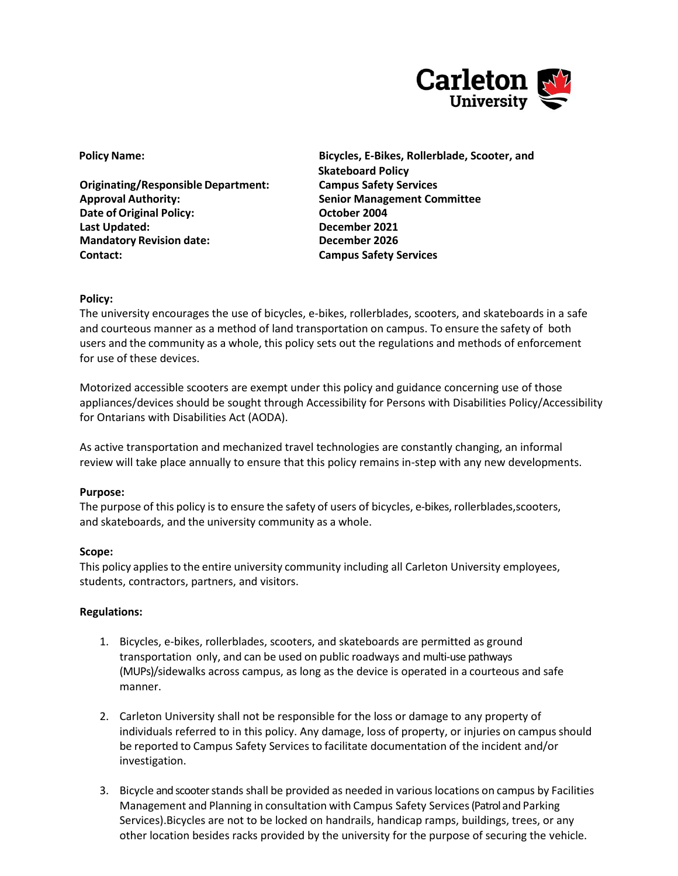

**Originating/Responsible Department: Campus Safety Services Approval Authority: Senior Management Committee Date of Original Policy: CELL COMPANY October 2004 Last Updated: December 2021 Mandatory Revision date: December 2026 Contact: Campus Safety Services**

**Policy Name: Bicycles, E-Bikes, Rollerblade, Scooter, and Skateboard Policy**

## **Policy:**

The university encourages the use of bicycles, e-bikes, rollerblades, scooters, and skateboards in a safe and courteous manner as a method of land transportation on campus. To ensure the safety of both users and the community as a whole, this policy sets out the regulations and methods of enforcement for use of these devices.

Motorized accessible scooters are exempt under this policy and guidance concerning use of those appliances/devices should be sought through Accessibility for Persons with Disabilities Policy/Accessibility for Ontarians with Disabilities Act (AODA).

As active transportation and mechanized travel technologies are constantly changing, an informal review will take place annually to ensure that this policy remains in-step with any new developments.

### **Purpose:**

The purpose of this policy is to ensure the safety of users of bicycles, e-bikes, rollerblades,scooters, and skateboards, and the university community as a whole.

### **Scope:**

This policy applies to the entire university community including all Carleton University employees, students, contractors, partners, and visitors.

### **Regulations:**

- 1. Bicycles, e-bikes, rollerblades, scooters, and skateboards are permitted as ground transportation only, and can be used on public roadways and multi-use pathways (MUPs)/sidewalks across campus, as long as the device is operated in a courteous and safe manner.
- 2. Carleton University shall not be responsible for the loss or damage to any property of individuals referred to in this policy. Any damage, loss of property, or injuries on campus should be reported to Campus Safety Services to facilitate documentation of the incident and/or investigation.
- 3. Bicycle and scooter stands shall be provided as needed in variouslocations on campus by Facilities Management and Planning in consultation with Campus Safety Services(Patrol and Parking Services).Bicycles are not to be locked on handrails, handicap ramps, buildings, trees, or any other location besides racks provided by the university for the purpose of securing the vehicle.